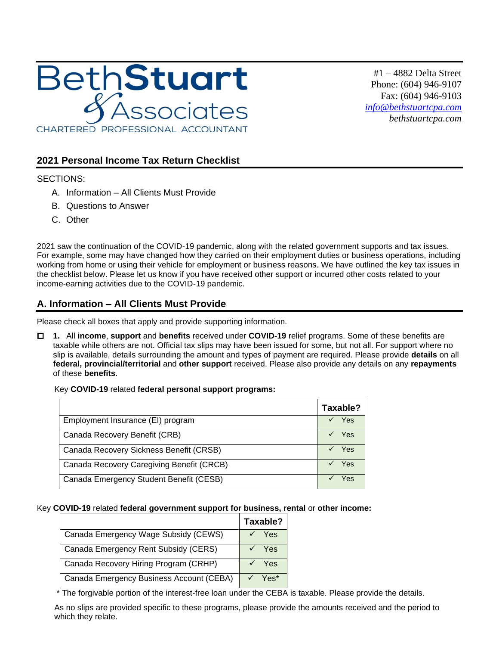

#1 – 4882 Delta Street Phone: (604) 946-9107 Fax: (604) 946-9103 *[info@bethstuartcpa.com](mailto:info@bethstuartcpa.com) bethstuartcpa.com*

## **2021 Personal Income Tax Return Checklist**

### SECTIONS:

- A. Information All Clients Must Provide
- B. Questions to Answer
- C. Other

2021 saw the continuation of the COVID-19 pandemic, along with the related government supports and tax issues. For example, some may have changed how they carried on their employment duties or business operations, including working from home or using their vehicle for employment or business reasons. We have outlined the key tax issues in the checklist below. Please let us know if you have received other support or incurred other costs related to your income-earning activities due to the COVID-19 pandemic.

# **A. Information – All Clients Must Provide**

Please check all boxes that apply and provide supporting information.

 **1.** All **income**, **support** and **benefits** received under **COVID-19** relief programs. Some of these benefits are taxable while others are not. Official tax slips may have been issued for some, but not all. For support where no slip is available, details surrounding the amount and types of payment are required. Please provide **details** on all **federal, provincial/territorial** and **other support** received. Please also provide any details on any **repayments** of these **benefits**.

### Key **COVID-19** related **federal personal support programs:**

|                                           | Taxable? |
|-------------------------------------------|----------|
| Employment Insurance (EI) program         | Yes      |
| Canada Recovery Benefit (CRB)             | Yes      |
| Canada Recovery Sickness Benefit (CRSB)   | Yes      |
| Canada Recovery Caregiving Benefit (CRCB) | Yes      |
| Canada Emergency Student Benefit (CESB)   | Yes      |

#### Key **COVID-19** related **federal government support for business, rental** or **other income:**

|                                          | Taxable?                    |
|------------------------------------------|-----------------------------|
| Canada Emergency Wage Subsidy (CEWS)     | Yes                         |
| Canada Emergency Rent Subsidy (CERS)     | Yes                         |
| Canada Recovery Hiring Program (CRHP)    | <b>Yes</b>                  |
| Canada Emergency Business Account (CEBA) | $\sqrt{ }$ Yes <sup>*</sup> |

\* The forgivable portion of the interest-free loan under the CEBA is taxable. Please provide the details.

As no slips are provided specific to these programs, please provide the amounts received and the period to which they relate.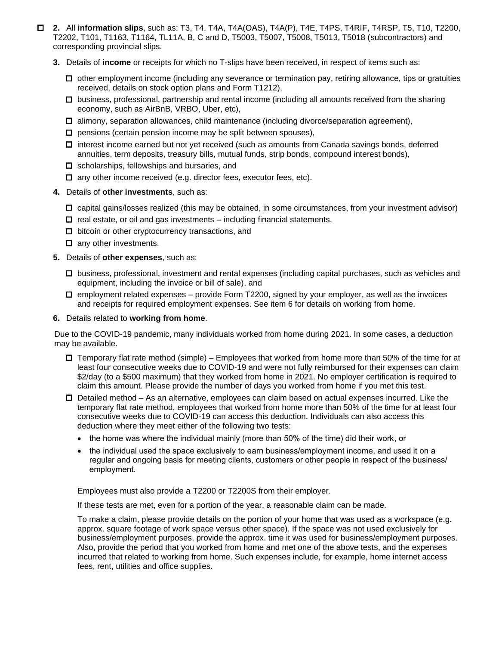- **2.** All **information slips**, such as: T3, T4, T4A, T4A(OAS), T4A(P), T4E, T4PS, T4RIF, T4RSP, T5, T10, T2200, T2202, T101, T1163, T1164, TL11A, B, C and D, T5003, T5007, T5008, T5013, T5018 (subcontractors) and corresponding provincial slips.
	- **3.** Details of **income** or receipts for which no T-slips have been received, in respect of items such as:
		- $\Box$  other employment income (including any severance or termination pay, retiring allowance, tips or gratuities received, details on stock option plans and Form T1212),
		- $\Box$  business, professional, partnership and rental income (including all amounts received from the sharing economy, such as AirBnB, VRBO, Uber, etc),
		- $\Box$  alimony, separation allowances, child maintenance (including divorce/separation agreement),
		- $\square$  pensions (certain pension income may be split between spouses),
		- $\Box$  interest income earned but not yet received (such as amounts from Canada savings bonds, deferred annuities, term deposits, treasury bills, mutual funds, strip bonds, compound interest bonds),
		- $\Box$  scholarships, fellowships and bursaries, and
		- $\Box$  any other income received (e.g. director fees, executor fees, etc).
	- **4.** Details of **other investments**, such as:
		- $\Box$  capital gains/losses realized (this may be obtained, in some circumstances, from your investment advisor)
		- $\square$  real estate, or oil and gas investments including financial statements,
		- $\Box$  bitcoin or other cryptocurrency transactions, and
		- $\Box$  any other investments.
	- **5.** Details of **other expenses**, such as:
		- $\Box$  business, professional, investment and rental expenses (including capital purchases, such as vehicles and equipment, including the invoice or bill of sale), and
		- $\Box$  employment related expenses provide Form T2200, signed by your employer, as well as the invoices and receipts for required employment expenses. See item 6 for details on working from home.
	- **6.** Details related to **working from home**.

Due to the COVID-19 pandemic, many individuals worked from home during 2021. In some cases, a deduction may be available.

- $\Box$  Temporary flat rate method (simple) Employees that worked from home more than 50% of the time for at least four consecutive weeks due to COVID-19 and were not fully reimbursed for their expenses can claim \$2/day (to a \$500 maximum) that they worked from home in 2021. No employer certification is required to claim this amount. Please provide the number of days you worked from home if you met this test.
- $\Box$  Detailed method As an alternative, employees can claim based on actual expenses incurred. Like the temporary flat rate method, employees that worked from home more than 50% of the time for at least four consecutive weeks due to COVID-19 can access this deduction. Individuals can also access this deduction where they meet either of the following two tests:
	- the home was where the individual mainly (more than 50% of the time) did their work, or
	- the individual used the space exclusively to earn business/employment income, and used it on a regular and ongoing basis for meeting clients, customers or other people in respect of the business/ employment.

Employees must also provide a T2200 or T2200S from their employer.

If these tests are met, even for a portion of the year, a reasonable claim can be made.

To make a claim, please provide details on the portion of your home that was used as a workspace (e.g. approx. square footage of work space versus other space). If the space was not used exclusively for business/employment purposes, provide the approx. time it was used for business/employment purposes. Also, provide the period that you worked from home and met one of the above tests, and the expenses incurred that related to working from home. Such expenses include, for example, home internet access fees, rent, utilities and office supplies.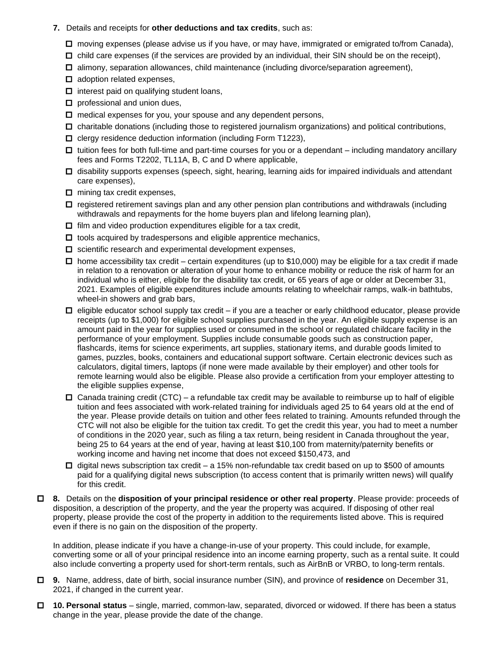- **7.** Details and receipts for **other deductions and tax credits**, such as:
	- moving expenses (please advise us if you have, or may have, immigrated or emigrated to/from Canada),
	- $\Box$  child care expenses (if the services are provided by an individual, their SIN should be on the receipt),
	- $\Box$  alimony, separation allowances, child maintenance (including divorce/separation agreement),
	- $\Box$  adoption related expenses,
	- $\Box$  interest paid on qualifying student loans,
	- $\Box$  professional and union dues,
	- $\square$  medical expenses for you, your spouse and any dependent persons,
	- $\Box$  charitable donations (including those to registered journalism organizations) and political contributions,
	- $\square$  clergy residence deduction information (including Form T1223),
	- $\Box$  tuition fees for both full-time and part-time courses for you or a dependant including mandatory ancillary fees and Forms T2202, TL11A, B, C and D where applicable,
	- $\Box$  disability supports expenses (speech, sight, hearing, learning aids for impaired individuals and attendant care expenses),
	- $\Box$  mining tax credit expenses,
	- $\Box$  registered retirement savings plan and any other pension plan contributions and withdrawals (including withdrawals and repayments for the home buyers plan and lifelong learning plan),
	- $\Box$  film and video production expenditures eligible for a tax credit,
	- $\Box$  tools acquired by tradespersons and eligible apprentice mechanics,
	- $\Box$  scientific research and experimental development expenses,
	- $\Box$  home accessibility tax credit certain expenditures (up to \$10,000) may be eligible for a tax credit if made in relation to a renovation or alteration of your home to enhance mobility or reduce the risk of harm for an individual who is either, eligible for the disability tax credit, or 65 years of age or older at December 31, 2021. Examples of eligible expenditures include amounts relating to wheelchair ramps, walk-in bathtubs, wheel-in showers and grab bars,
	- $\Box$  eligible educator school supply tax credit if you are a teacher or early childhood educator, please provide receipts (up to \$1,000) for eligible school supplies purchased in the year. An eligible supply expense is an amount paid in the year for supplies used or consumed in the school or regulated childcare facility in the performance of your employment. Supplies include consumable goods such as construction paper, flashcards, items for science experiments, art supplies, stationary items, and durable goods limited to games, puzzles, books, containers and educational support software. Certain electronic devices such as calculators, digital timers, laptops (if none were made available by their employer) and other tools for remote learning would also be eligible. Please also provide a certification from your employer attesting to the eligible supplies expense,
	- $\Box$  Canada training credit (CTC) a refundable tax credit may be available to reimburse up to half of eligible tuition and fees associated with work-related training for individuals aged 25 to 64 years old at the end of the year. Please provide details on tuition and other fees related to training. Amounts refunded through the CTC will not also be eligible for the tuition tax credit. To get the credit this year, you had to meet a number of conditions in the 2020 year, such as filing a tax return, being resident in Canada throughout the year, being 25 to 64 years at the end of year, having at least \$10,100 from maternity/paternity benefits or working income and having net income that does not exceed \$150,473, and
	- $\Box$  digital news subscription tax credit a 15% non-refundable tax credit based on up to \$500 of amounts paid for a qualifying digital news subscription (to access content that is primarily written news) will qualify for this credit.
- **8.** Details on the **disposition of your principal residence or other real property**. Please provide: proceeds of disposition, a description of the property, and the year the property was acquired. If disposing of other real property, please provide the cost of the property in addition to the requirements listed above. This is required even if there is no gain on the disposition of the property.

In addition, please indicate if you have a change-in-use of your property. This could include, for example, converting some or all of your principal residence into an income earning property, such as a rental suite. It could also include converting a property used for short-term rentals, such as AirBnB or VRBO, to long-term rentals.

- **9.** Name, address, date of birth, social insurance number (SIN), and province of **residence** on December 31, 2021, if changed in the current year.
- **10. Personal status**  single, married, common-law, separated, divorced or widowed. If there has been a status change in the year, please provide the date of the change.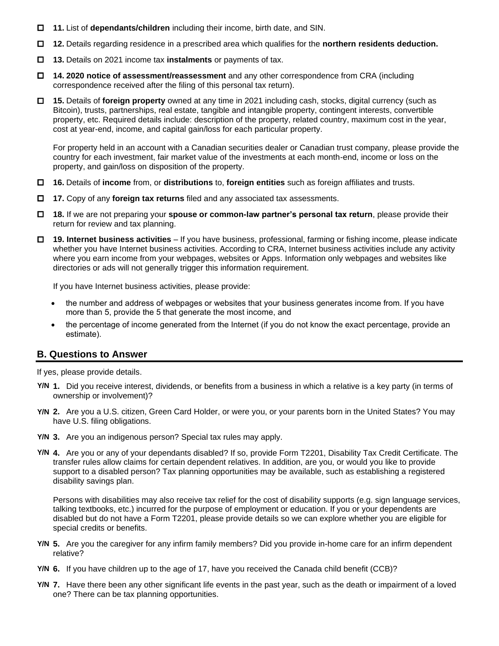- **11.** List of **dependants/children** including their income, birth date, and SIN.
- **12.** Details regarding residence in a prescribed area which qualifies for the **northern residents deduction.**
- **13.** Details on 2021 income tax **instalments** or payments of tax.
- **14. 2020 notice of assessment/reassessment** and any other correspondence from CRA (including correspondence received after the filing of this personal tax return).
- **15.** Details of **foreign property** owned at any time in 2021 including cash, stocks, digital currency (such as Bitcoin), trusts, partnerships, real estate, tangible and intangible property, contingent interests, convertible property, etc. Required details include: description of the property, related country, maximum cost in the year, cost at year-end, income, and capital gain/loss for each particular property.

For property held in an account with a Canadian securities dealer or Canadian trust company, please provide the country for each investment, fair market value of the investments at each month-end, income or loss on the property, and gain/loss on disposition of the property.

- **16.** Details of **income** from, or **distributions** to, **foreign entities** such as foreign affiliates and trusts.
- **17.** Copy of any **foreign tax returns** filed and any associated tax assessments.
- **18.** If we are not preparing your **spouse or common-law partner's personal tax return**, please provide their return for review and tax planning.
- **19. Internet business activities** If you have business, professional, farming or fishing income, please indicate whether you have Internet business activities. According to CRA, Internet business activities include any activity where you earn income from your webpages, websites or Apps. Information only webpages and websites like directories or ads will not generally trigger this information requirement.

If you have Internet business activities, please provide:

- the number and address of webpages or websites that your business generates income from. If you have more than 5, provide the 5 that generate the most income, and
- the percentage of income generated from the Internet (if you do not know the exact percentage, provide an estimate).

### **B. Questions to Answer**

If yes, please provide details.

- **1.** Did you receive interest, dividends, or benefits from a business in which a relative is a key party (in terms of **Y/N** ownership or involvement)?
- **2.** Are you a U.S. citizen, Green Card Holder, or were you, or your parents born in the United States? You may **Y/N** have U.S. filing obligations.
- **3.** Are you an indigenous person? Special tax rules may apply. **Y/N**
- **4.** Are you or any of your dependants disabled? If so, provide Form T2201, Disability Tax Credit Certificate. The **Y/N** transfer rules allow claims for certain dependent relatives. In addition, are you, or would you like to provide support to a disabled person? Tax planning opportunities may be available, such as establishing a registered disability savings plan.

Persons with disabilities may also receive tax relief for the cost of disability supports (e.g. sign language services, talking textbooks, etc.) incurred for the purpose of employment or education. If you or your dependents are disabled but do not have a Form T2201, please provide details so we can explore whether you are eligible for special credits or benefits.

- **5.** Are you the caregiver for any infirm family members? Did you provide in-home care for an infirm dependent **Y/N** relative?
- **6.** If you have children up to the age of 17, have you received the Canada child benefit (CCB)? **Y/N**
- **7.** Have there been any other significant life events in the past year, such as the death or impairment of a loved **Y/N**one? There can be tax planning opportunities.